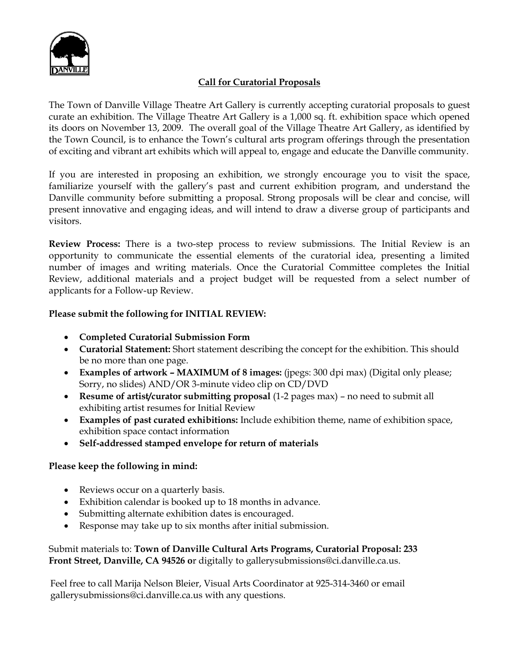

### **Call for Curatorial Proposals**

The Town of Danville Village Theatre Art Gallery is currently accepting curatorial proposals to guest curate an exhibition. The Village Theatre Art Gallery is a 1,000 sq. ft. exhibition space which opened its doors on November 13, 2009. The overall goal of the Village Theatre Art Gallery, as identified by the Town Council, is to enhance the Town's cultural arts program offerings through the presentation of exciting and vibrant art exhibits which will appeal to, engage and educate the Danville community.

If you are interested in proposing an exhibition, we strongly encourage you to visit the space, familiarize yourself with the gallery's past and current exhibition program, and understand the Danville community before submitting a proposal. Strong proposals will be clear and concise, will present innovative and engaging ideas, and will intend to draw a diverse group of participants and visitors.

**Review Process:** There is a two-step process to review submissions. The Initial Review is an opportunity to communicate the essential elements of the curatorial idea, presenting a limited number of images and writing materials. Once the Curatorial Committee completes the Initial Review, additional materials and a project budget will be requested from a select number of applicants for a Follow-up Review.

#### **Please submit the following for INITIAL REVIEW:**

- **Completed Curatorial Submission Form**
- **Curatorial Statement:** Short statement describing the concept for the exhibition. This should be no more than one page.
- **Examples of artwork – MAXIMUM of 8 images:** (jpegs: 300 dpi max) (Digital only please; Sorry, no slides) AND/OR 3-minute video clip on CD/DVD
- **Resume of artist/curator submitting proposal** (1-2 pages max) no need to submit all exhibiting artist resumes for Initial Review
- **Examples of past curated exhibitions:** Include exhibition theme, name of exhibition space, exhibition space contact information
- **Self-addressed stamped envelope for return of materials**

### **Please keep the following in mind:**

- Reviews occur on a quarterly basis.
- Exhibition calendar is booked up to 18 months in advance.
- Submitting alternate exhibition dates is encouraged.
- Response may take up to six months after initial submission.

Submit materials to: **Town of Danville Cultural Arts Programs, Curatorial Proposal: 233 Front Street, Danville, CA 94526 o**r digitally to gallerysubmissions@ci.danville.ca.us.

Feel free to call Marija Nelson Bleier, Visual Arts Coordinator at 925-314-3460 or email gallerysubmissions@ci.danville.ca.us with any questions.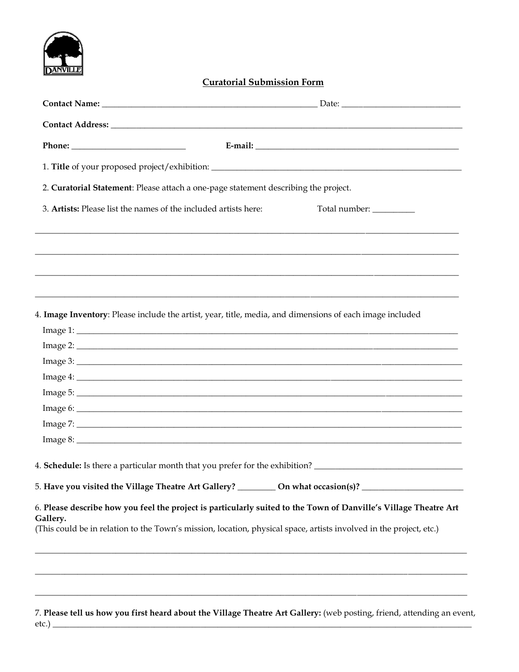

### **Curatorial Submission Form**

|                                                                 | 1. Title of your proposed project/exhibition: ___________________________________                                                                                                                                                      |
|-----------------------------------------------------------------|----------------------------------------------------------------------------------------------------------------------------------------------------------------------------------------------------------------------------------------|
|                                                                 | 2. Curatorial Statement: Please attach a one-page statement describing the project.                                                                                                                                                    |
| 3. Artists: Please list the names of the included artists here: | Total number: __________                                                                                                                                                                                                               |
|                                                                 |                                                                                                                                                                                                                                        |
|                                                                 |                                                                                                                                                                                                                                        |
|                                                                 | 4. Image Inventory: Please include the artist, year, title, media, and dimensions of each image included                                                                                                                               |
|                                                                 | Image 1:                                                                                                                                                                                                                               |
|                                                                 |                                                                                                                                                                                                                                        |
|                                                                 | Image 3:                                                                                                                                                                                                                               |
|                                                                 |                                                                                                                                                                                                                                        |
|                                                                 |                                                                                                                                                                                                                                        |
|                                                                 |                                                                                                                                                                                                                                        |
|                                                                 | Image 7:                                                                                                                                                                                                                               |
|                                                                 | Image 8:                                                                                                                                                                                                                               |
|                                                                 | 4. Schedule: Is there a particular month that you prefer for the exhibition?                                                                                                                                                           |
|                                                                 | 5. Have you visited the Village Theatre Art Gallery? __________ On what occasion(s)? ________________________                                                                                                                          |
| Gallery.                                                        | 6. Please describe how you feel the project is particularly suited to the Town of Danville's Village Theatre Art<br>(This could be in relation to the Town's mission, location, physical space, artists involved in the project, etc.) |
|                                                                 |                                                                                                                                                                                                                                        |
|                                                                 |                                                                                                                                                                                                                                        |

7. Please tell us how you first heard about the Village Theatre Art Gallery: (web posting, friend, attending an event,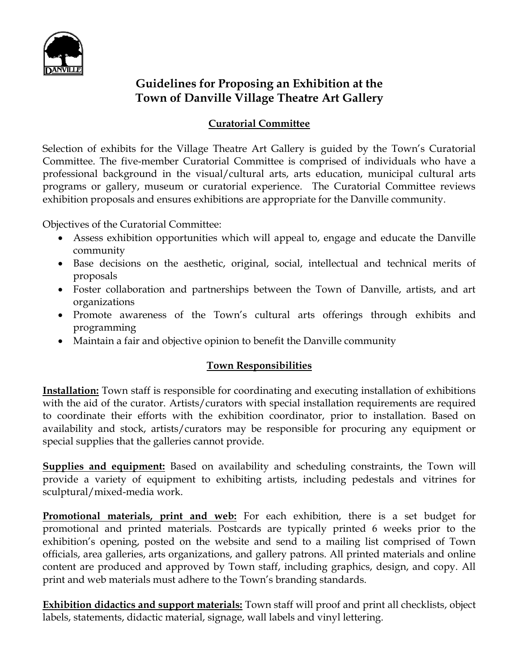

# **Guidelines for Proposing an Exhibition at the Town of Danville Village Theatre Art Gallery**

## **Curatorial Committee**

Selection of exhibits for the Village Theatre Art Gallery is guided by the Town's Curatorial Committee. The five-member Curatorial Committee is comprised of individuals who have a professional background in the visual/cultural arts, arts education, municipal cultural arts programs or gallery, museum or curatorial experience. The Curatorial Committee reviews exhibition proposals and ensures exhibitions are appropriate for the Danville community.

Objectives of the Curatorial Committee:

- Assess exhibition opportunities which will appeal to, engage and educate the Danville community
- Base decisions on the aesthetic, original, social, intellectual and technical merits of proposals
- Foster collaboration and partnerships between the Town of Danville, artists, and art organizations
- Promote awareness of the Town's cultural arts offerings through exhibits and programming
- Maintain a fair and objective opinion to benefit the Danville community

# **Town Responsibilities**

**Installation:** Town staff is responsible for coordinating and executing installation of exhibitions with the aid of the curator. Artists/curators with special installation requirements are required to coordinate their efforts with the exhibition coordinator, prior to installation. Based on availability and stock, artists/curators may be responsible for procuring any equipment or special supplies that the galleries cannot provide.

**Supplies and equipment:** Based on availability and scheduling constraints, the Town will provide a variety of equipment to exhibiting artists, including pedestals and vitrines for sculptural/mixed-media work.

**Promotional materials, print and web:** For each exhibition, there is a set budget for promotional and printed materials. Postcards are typically printed 6 weeks prior to the exhibition's opening, posted on the website and send to a mailing list comprised of Town officials, area galleries, arts organizations, and gallery patrons. All printed materials and online content are produced and approved by Town staff, including graphics, design, and copy. All print and web materials must adhere to the Town's branding standards.

**Exhibition didactics and support materials:** Town staff will proof and print all checklists, object labels, statements, didactic material, signage, wall labels and vinyl lettering.